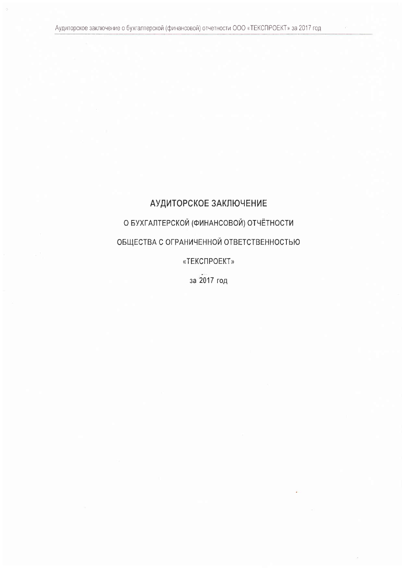# АУДИТОРСКОЕ ЗАКЛЮЧЕНИЕ

О БУХГАЛТЕРСКОЙ (ФИНАНСОВОЙ) ОТЧЁТНОСТИ

ОБЩЕСТВА С ОГРАНИЧЕННОЙ ОТВЕТСТВЕННОСТЬЮ

«ТЕКСПРОЕКТ»

за 2017 год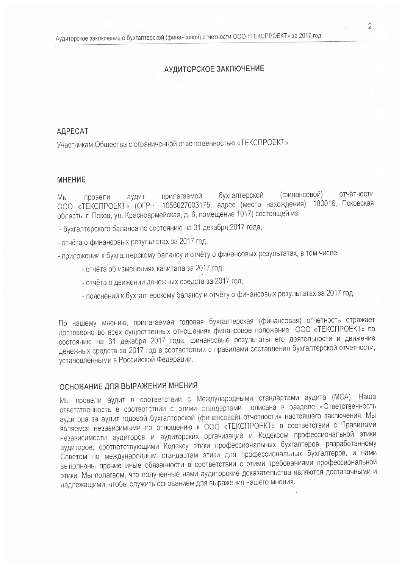### АУДИТОРСКОЕ ЗАКЛЮЧЕНИЕ

## **АДРЕСАТ**

Участникам Общества с ограниченной ответственностью «ТЕКСПРОЕКТ»

#### **MHEHNE**

отчётности бухгалтерской (финансовой) прилагаемой Мы провели аудит ООО «ТЕКСПРОЕКТ» (ОГРН: 1056027003175, адрес (место нахождения): 180016, Псковская область, г. Псков, ул. Красноармейская, д. 6, помещение 1017) состоящей из:

- бухгалтерского баланса по состоянию на 31 декабря 2017 года,

- отчёта о финансовых результатах за 2017 год,
- приложений к бухгалтерскому балансу и отчёту о финансовых результатах, в том числе:
	- отчёта об изменениях капитала за 2017 год;
	- отчёта о движении денежных средств за 2017 год;
	- пояснений к бухгалтерскому балансу и отчёту о финансовых результатах за 2017 год.

По нашему мнению, прилагаемая годовая бухгалтерская (финансовая) отчетность отражает достоверно во всех существенных отношениях финансовое положение ООО «ТЕКСПРОЕКТ» по состоянию на 31 декабря 2017 года, финансовые результаты его деятельности и движение денежных средств за 2017 год в соответствии с правилами составления бухгалтерской отчетности, установленными в Российской Федерации.

# ОСНОВАНИЕ ДЛЯ ВЫРАЖЕНИЯ МНЕНИЯ

Мы провели аудит в соответствии с Международными стандартами аудита (МСА). Наша ответственность в соответствии с этими стандартами описана в разделе «Ответственность аудитора за аудит годовой бухгалтерской (финансовой) отчетности» настоящего заключения. Мы являемся независимыми по отношению к ООО «ТЕКСПРОЕКТ» в соответствии с Правилами независимости аудиторов и аудиторских организаций и Кодексом профессиональной этики аудиторов, соответствующими Кодексу этики профессиональных бухгалтеров, разработанному Советом по международным стандартам этики для профессиональных бухгалтеров, и нами выполнены прочие иные обязанности в соответствии с этими требованиями профессиональной этики. Мы полагаем, что полученные нами аудиторские доказательства являются достаточными и надлежащими, чтобы служить основанием для выражения нашего мнения.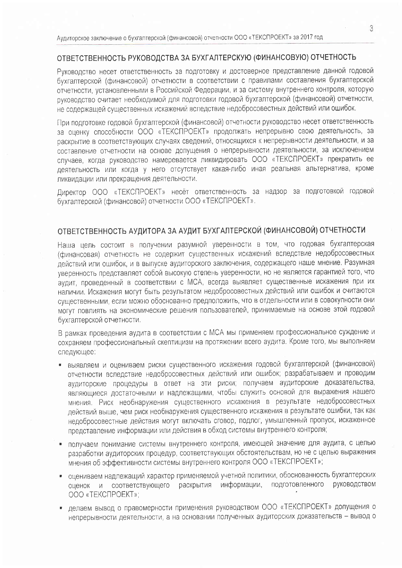### ОТВЕТСТВЕННОСТЬ РУКОВОДСТВА ЗА БУХГАЛТЕРСКУЮ (ФИНАНСОВУЮ) ОТЧЕТНОСТЬ

Руковолство несет ответственность за подготовку и достоверное представление данной годовой бухгалтерской (финансовой) отчетности в соответствии с правилами составления бухгалтерской отчетности, установленными в Российской Федерации, и за систему внутреннего контроля, которую руководство считает необходимой для подготовки годовой бухгалтерской (финансовой) отчетности, не содержащей существенных искажений вследствие недобросовестных действий или ошибок.

При подготовке годовой бухгалтерской (финансовой) отчетности руководство несет ответственность за оценку способности ООО «ТЕКСПРОЕКТ» продолжать непрерывно свою деятельность, за раскрытие в соответствующих случаях сведений, относящихся к непрерывности деятельности, и за составление отчетности на основе допущения о непрерывности деятельности, за исключением случаев, когда руководство намеревается ликвидировать ООО «ТЕКСПРОЕКТ» прекратить ее деятельность или когда у него отсутствует какая-либо иная реальная альтернатива, кроме ликвидации или прекращения деятельности.

Директор ООО «ТЕКСПРОЕКТ» несёт ответственность за надзор за подготовкой годовой бухгалтерской (финансовой) отчетности ООО «ТЕКСПРОЕКТ».

# ОТВЕТСТВЕННОСТЬ АУДИТОРА ЗА АУДИТ БУХГАЛТЕРСКОЙ (ФИНАНСОВОЙ) ОТЧЕТНОСТИ

Наша цель состоит в получении разумной уверенности в том, что годовая бухгалтерская (финансовая) отчетность не содержит существенных искажений вследствие недобросовестных действий или ошибок, и в выпуске аудиторского заключения, содержащего наше мнение. Разумная уверенность представляет собой высокую степень уверенности, но не является гарантией того, что аудит, проведенный в соответствии с МСА, всегда выявляет существенные искажения при их наличии. Искажения могут быть результатом недобросовестных действий или ошибок и считаются существенными, если можно обоснованно предположить, что в отдельности или в совокупности они могут повлиять на экономические решения пользователей, принимаемые на основе этой годовой бухгалтерской отчетности.

В рамках проведения аудита в соответствии с МСА мы применяем профессиональное суждение и сохраняем профессиональный скептицизм на протяжении всего аудита. Кроме того, мы выполняем следующее:

- выявляем и оцениваем риски существенного искажения годовой бухгалтерской (финансовой) отчетности вследствие недобросовестных действий или ошибок; разрабатываем и проводим аудиторские процедуры в ответ на эти риски; получаем аудиторские доказательства, являющиеся достаточными и надлежащими, чтобы служить основой для выражения нашего мнения. Риск необнаружения существенного искажения в результате недобросовестных действий выше, чем риск необнаружения существенного искажения в результате ошибки, так как недобросовестные действия могут включать сговор, подлог, умышленный пропуск, искаженное представление информации или действия в обход системы внутреннего контроля;
- получаем понимание системы внутреннего контроля, имеющей значение для аудита, с целью разработки аудиторских процедур, соответствующих обстоятельствам, но не с целью выражения мнения об эффективности системы внутреннего контроля ООО «ТЕКСПРОЕКТ»;
- оцениваем надлежащий характер применяемой учетной политики, обоснованность бухгалтерских подготовленного **руководством** оценок и соответствующего раскрытия информации, OOO «TEKCIPOEKT»:
- делаем вывод о правомерности применения руководством ООО «ТЕКСПРОЕКТ» допущения о непрерывности деятельности, а на основании полученных аудиторских доказательств - вывод о